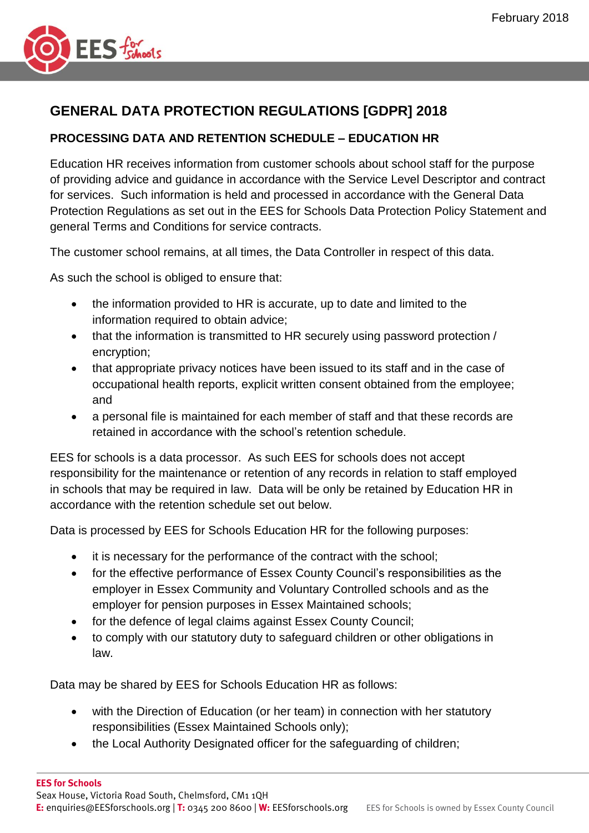

## **GENERAL DATA PROTECTION REGULATIONS [GDPR] 2018**

## **PROCESSING DATA AND RETENTION SCHEDULE – EDUCATION HR**

Education HR receives information from customer schools about school staff for the purpose of providing advice and guidance in accordance with the Service Level Descriptor and contract for services. Such information is held and processed in accordance with the General Data Protection Regulations as set out in the EES for Schools Data Protection Policy Statement and general Terms and Conditions for service contracts.

The customer school remains, at all times, the Data Controller in respect of this data.

As such the school is obliged to ensure that:

- the information provided to HR is accurate, up to date and limited to the information required to obtain advice;
- that the information is transmitted to HR securely using password protection / encryption;
- that appropriate privacy notices have been issued to its staff and in the case of occupational health reports, explicit written consent obtained from the employee; and
- a personal file is maintained for each member of staff and that these records are retained in accordance with the school's retention schedule.

EES for schools is a data processor. As such EES for schools does not accept responsibility for the maintenance or retention of any records in relation to staff employed in schools that may be required in law. Data will be only be retained by Education HR in accordance with the retention schedule set out below.

Data is processed by EES for Schools Education HR for the following purposes:

- it is necessary for the performance of the contract with the school;
- for the effective performance of Essex County Council's responsibilities as the employer in Essex Community and Voluntary Controlled schools and as the employer for pension purposes in Essex Maintained schools;
- for the defence of legal claims against Essex County Council;
- to comply with our statutory duty to safeguard children or other obligations in law.

Data may be shared by EES for Schools Education HR as follows:

- with the Direction of Education (or her team) in connection with her statutory responsibilities (Essex Maintained Schools only);
- the Local Authority Designated officer for the safeguarding of children;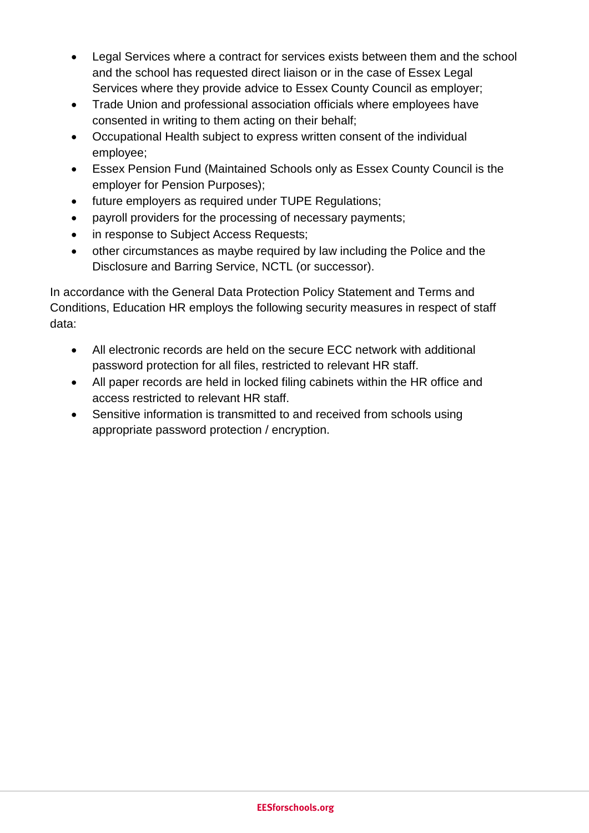- Legal Services where a contract for services exists between them and the school and the school has requested direct liaison or in the case of Essex Legal Services where they provide advice to Essex County Council as employer;
- Trade Union and professional association officials where employees have consented in writing to them acting on their behalf;
- Occupational Health subject to express written consent of the individual employee;
- Essex Pension Fund (Maintained Schools only as Essex County Council is the employer for Pension Purposes);
- future employers as required under TUPE Regulations;
- payroll providers for the processing of necessary payments;
- in response to Subiect Access Requests:
- other circumstances as maybe required by law including the Police and the Disclosure and Barring Service, NCTL (or successor).

In accordance with the General Data Protection Policy Statement and Terms and Conditions, Education HR employs the following security measures in respect of staff data:

- All electronic records are held on the secure ECC network with additional password protection for all files, restricted to relevant HR staff.
- All paper records are held in locked filing cabinets within the HR office and access restricted to relevant HR staff.
- Sensitive information is transmitted to and received from schools using appropriate password protection / encryption.